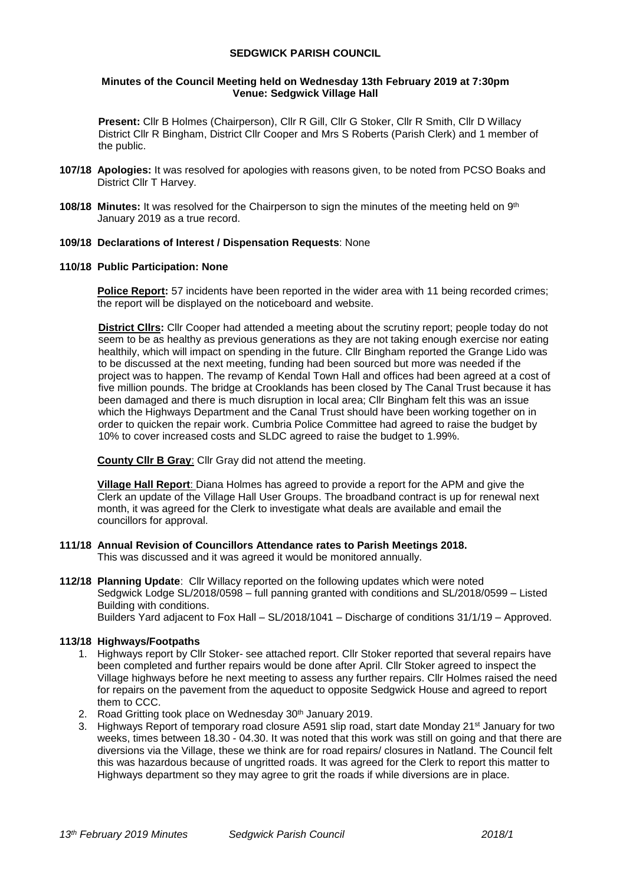# **SEDGWICK PARISH COUNCIL**

## **Minutes of the Council Meeting held on Wednesday 13th February 2019 at 7:30pm Venue: Sedgwick Village Hall**

**Present:** Cllr B Holmes (Chairperson), Cllr R Gill, Cllr G Stoker, Cllr R Smith, Cllr D Willacy District Cllr R Bingham, District Cllr Cooper and Mrs S Roberts (Parish Clerk) and 1 member of the public.

- **107/18 Apologies:** It was resolved for apologies with reasons given, to be noted from PCSO Boaks and District Cllr T Harvey.
- **108/18 Minutes:** It was resolved for the Chairperson to sign the minutes of the meeting held on 9<sup>th</sup> January 2019 as a true record.

# **109/18 Declarations of Interest / Dispensation Requests**: None

# **110/18 Public Participation: None**

**Police Report:** 57 incidents have been reported in the wider area with 11 being recorded crimes; the report will be displayed on the noticeboard and website.

**District Cllrs:** Cllr Cooper had attended a meeting about the scrutiny report; people today do not seem to be as healthy as previous generations as they are not taking enough exercise nor eating healthily, which will impact on spending in the future. Cllr Bingham reported the Grange Lido was to be discussed at the next meeting, funding had been sourced but more was needed if the project was to happen. The revamp of Kendal Town Hall and offices had been agreed at a cost of five million pounds. The bridge at Crooklands has been closed by The Canal Trust because it has been damaged and there is much disruption in local area; Cllr Bingham felt this was an issue which the Highways Department and the Canal Trust should have been working together on in order to quicken the repair work. Cumbria Police Committee had agreed to raise the budget by 10% to cover increased costs and SLDC agreed to raise the budget to 1.99%.

**County Cllr B Gray**: Cllr Gray did not attend the meeting.

**Village Hall Report**: Diana Holmes has agreed to provide a report for the APM and give the Clerk an update of the Village Hall User Groups. The broadband contract is up for renewal next month, it was agreed for the Clerk to investigate what deals are available and email the councillors for approval.

- **111/18 Annual Revision of Councillors Attendance rates to Parish Meetings 2018.**  This was discussed and it was agreed it would be monitored annually.
- **112/18 Planning Update**: Cllr Willacy reported on the following updates which were noted Sedgwick Lodge SL/2018/0598 – full panning granted with conditions and SL/2018/0599 – Listed Building with conditions.

Builders Yard adjacent to Fox Hall – SL/2018/1041 – Discharge of conditions 31/1/19 – Approved.

# **113/18 Highways/Footpaths**

- 1. Highways report by Cllr Stoker- see attached report. Cllr Stoker reported that several repairs have been completed and further repairs would be done after April. Cllr Stoker agreed to inspect the Village highways before he next meeting to assess any further repairs. Cllr Holmes raised the need for repairs on the pavement from the aqueduct to opposite Sedgwick House and agreed to report them to CCC.
- 2. Road Gritting took place on Wednesday 30<sup>th</sup> January 2019.
- 3. Highways Report of temporary road closure A591 slip road, start date Monday 21st January for two weeks, times between 18.30 - 04.30. It was noted that this work was still on going and that there are diversions via the Village, these we think are for road repairs/ closures in Natland. The Council felt this was hazardous because of ungritted roads. It was agreed for the Clerk to report this matter to Highways department so they may agree to grit the roads if while diversions are in place.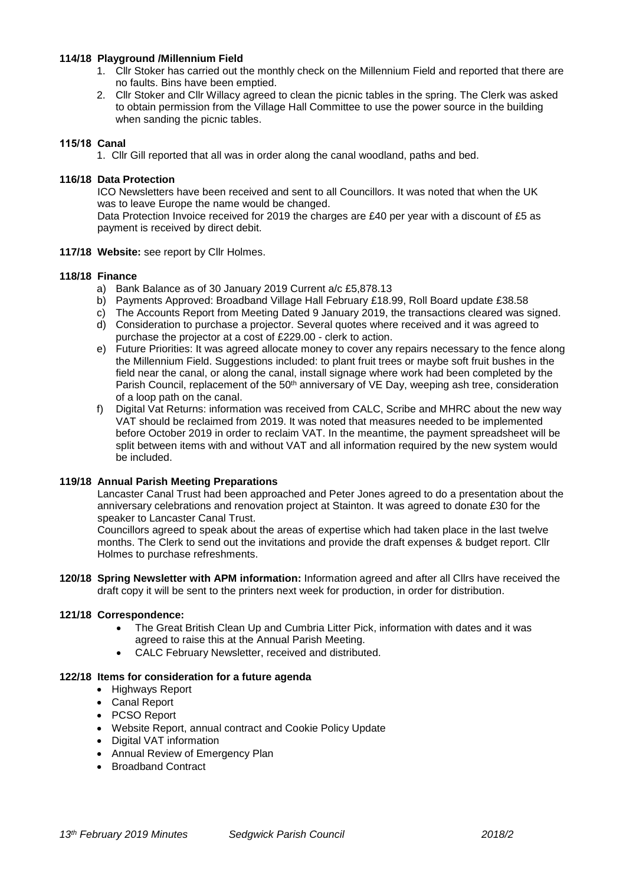## **114/18 Playground /Millennium Field**

- 1. Cllr Stoker has carried out the monthly check on the Millennium Field and reported that there are no faults. Bins have been emptied.
- 2. Cllr Stoker and Cllr Willacy agreed to clean the picnic tables in the spring. The Clerk was asked to obtain permission from the Village Hall Committee to use the power source in the building when sanding the picnic tables.

# **115/18 Canal**

1. Cllr Gill reported that all was in order along the canal woodland, paths and bed.

## **116/18 Data Protection**

ICO Newsletters have been received and sent to all Councillors. It was noted that when the UK was to leave Europe the name would be changed.

Data Protection Invoice received for 2019 the charges are £40 per year with a discount of £5 as payment is received by direct debit.

## **117/18 Website:** see report by Cllr Holmes.

## **118/18 Finance**

- a) Bank Balance as of 30 January 2019 Current a/c £5,878.13
- b) Payments Approved: Broadband Village Hall February £18.99, Roll Board update £38.58
- c) The Accounts Report from Meeting Dated 9 January 2019, the transactions cleared was signed.
- d) Consideration to purchase a projector. Several quotes where received and it was agreed to purchase the projector at a cost of £229.00 - clerk to action.
- e) Future Priorities: It was agreed allocate money to cover any repairs necessary to the fence along the Millennium Field. Suggestions included: to plant fruit trees or maybe soft fruit bushes in the field near the canal, or along the canal, install signage where work had been completed by the Parish Council, replacement of the 50<sup>th</sup> anniversary of VE Day, weeping ash tree, consideration of a loop path on the canal.
- f) Digital Vat Returns: information was received from CALC, Scribe and MHRC about the new way VAT should be reclaimed from 2019. It was noted that measures needed to be implemented before October 2019 in order to reclaim VAT. In the meantime, the payment spreadsheet will be split between items with and without VAT and all information required by the new system would be included.

## **119/18 Annual Parish Meeting Preparations**

Lancaster Canal Trust had been approached and Peter Jones agreed to do a presentation about the anniversary celebrations and renovation project at Stainton. It was agreed to donate £30 for the speaker to Lancaster Canal Trust.

Councillors agreed to speak about the areas of expertise which had taken place in the last twelve months. The Clerk to send out the invitations and provide the draft expenses & budget report. Cllr Holmes to purchase refreshments.

**120/18 Spring Newsletter with APM information:** Information agreed and after all Cllrs have received the draft copy it will be sent to the printers next week for production, in order for distribution.

## **121/18 Correspondence:**

- The Great British Clean Up and Cumbria Litter Pick, information with dates and it was agreed to raise this at the Annual Parish Meeting.
- CALC February Newsletter, received and distributed.

## **122/18 Items for consideration for a future agenda**

- Highways Report
- Canal Report
- PCSO Report
- Website Report, annual contract and Cookie Policy Update
- Digital VAT information
- Annual Review of Emergency Plan
- Broadband Contract